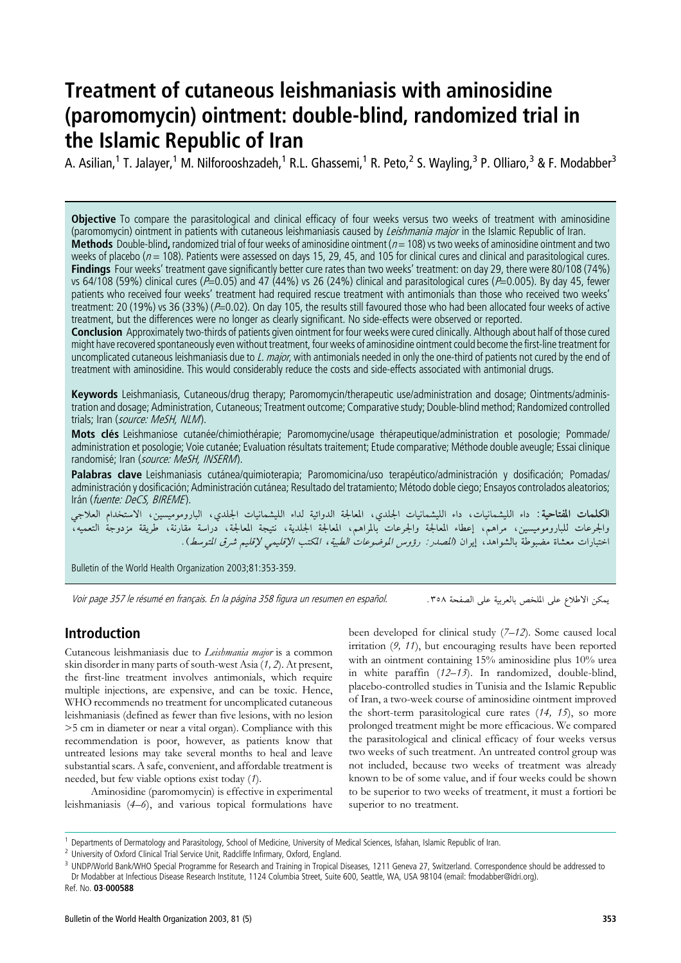# Treatment of cutaneous leishmaniasis with aminosidine (paromomycin) ointment: double-blind, randomized trial in the Islamic Republic of Iran

A. Asilian,<sup>1</sup> T. Jalayer,<sup>1</sup> M. Nilforooshzadeh,<sup>1</sup> R.L. Ghassemi,<sup>1</sup> R. Peto,<sup>2</sup> S. Wayling,<sup>3</sup> P. Olliaro,<sup>3</sup> & F. Modabber<sup>3</sup>

Objective To compare the parasitological and clinical efficacy of four weeks versus two weeks of treatment with aminosidine (paromomycin) ointment in patients with cutaneous leishmaniasis caused by Leishmania major in the Islamic Republic of Iran. Methods Double-blind, randomized trial of four weeks of aminosidine ointment ( $n = 108$ ) vs two weeks of aminosidine ointment and two weeks of placebo ( $n = 108$ ). Patients were assessed on days 15, 29, 45, and 105 for clinical cures and clinical and parasitological cures. Findings Four weeks' treatment gave significantly better cure rates than two weeks' treatment: on day 29, there were 80/108 (74%) vs 64/108 (59%) clinical cures ( $\overline{P}=0.05$ ) and 47 (44%) vs 26 (24%) clinical and parasitological cures ( $\overline{P}=0.005$ ). By day 45, fewer patients who received four weeks' treatment had required rescue treatment with antimonials than those who received two weeks' treatment: 20 (19%) vs 36 (33%) (P=0.02). On day 105, the results still favoured those who had been allocated four weeks of active treatment, but the differences were no longer as clearly significant. No side-effects were observed or reported.

Conclusion Approximately two-thirds of patients given ointment for four weeks were cured clinically. Although about half of those cured might have recovered spontaneously even without treatment, four weeks of aminosidine ointment could become the first-line treatment for uncomplicated cutaneous leishmaniasis due to L. major, with antimonials needed in only the one-third of patients not cured by the end of treatment with aminosidine. This would considerably reduce the costs and side-effects associated with antimonial drugs.

Keywords Leishmaniasis, Cutaneous/drug therapy; Paromomycin/therapeutic use/administration and dosage; Ointments/administration and dosage; Administration, Cutaneous; Treatment outcome; Comparative study; Double-blind method; Randomized controlled trials; Iran (source: MeSH, NLM).

Mots clés Leishmaniose cutanée/chimiothérapie; Paromomycine/usage thérapeutique/administration et posologie; Pommade/ administration et posologie; Voie cutanée; Evaluation résultats traitement; Etude comparative; Méthode double aveugle; Essai clinique randomisé: Iran (source: MeSH, INSERM).

Palabras clave Leishmaniasis cutánea/quimioterapia: Paromomicina/uso terapéutico/administración y dosificación: Pomadas/ administración y dosificación; Administración cutánea; Resultado del tratamiento; Método doble ciego; Ensayos controlados aleatorios; Irán (fuente: DeCS, BIREME).

الكلمات المفتاحية: داء الليشمانيات، داء الليشمانيات الجلدي، المعالجة الدوائية لداء الليشمانيات الجلدي، الباروموميسين، الاستخدام العلاجي والجرعات للباروموميسين، مراهم، إعطاء المعالجة والجرعات بالمراهم، المعالجة الجلدية، نتيجة المعالجة، دراسة مقارنة، طريقة مزدوجة التعميه، اختبارات معشاة مضبوطة بالشواهد، إيران (*الصدر : رؤوس الموضوعات الطبية، المكتب الإقليمي لإقليم شرق المتوسط*).

Bulletin of the World Health Organization 2003;81:353-359.

Voir page 357 le résumé en français. En la página 358 figura un resumen en español.

يمكن الاطلاع على الملخص بالعربية على الصفحة ٣٥٨.

# Introduction

Cutaneous leishmaniasis due to Leishmania major is a common skin disorder in many parts of south-west Asia (1, 2). At present, the first-line treatment involves antimonials, which require multiple injections, are expensive, and can be toxic. Hence, WHO recommends no treatment for uncomplicated cutaneous leishmaniasis (defined as fewer than five lesions, with no lesion >5 cm in diameter or near a vital organ). Compliance with this recommendation is poor, however, as patients know that untreated lesions may take several months to heal and leave substantial scars. A safe, convenient, and affordable treatment is needed, but few viable options exist today (1).

Aminosidine (paromomycin) is effective in experimental leishmaniasis (4–6), and various topical formulations have

been developed for clinical study (7–12). Some caused local irritation (9, 11), but encouraging results have been reported with an ointment containing 15% aminosidine plus 10% urea in white paraffin (12–13). In randomized, double-blind, placebo-controlled studies in Tunisia and the Islamic Republic of Iran, a two-week course of aminosidine ointment improved the short-term parasitological cure rates (14, 15), so more prolonged treatment might be more efficacious. We compared the parasitological and clinical efficacy of four weeks versus two weeks of such treatment. An untreated control group was not included, because two weeks of treatment was already known to be of some value, and if four weeks could be shown to be superior to two weeks of treatment, it must a fortiori be superior to no treatment.

<sup>1</sup> Departments of Dermatology and Parasitology, School of Medicine, University of Medical Sciences, Isfahan, Islamic Republic of Iran.

<sup>&</sup>lt;sup>2</sup> University of Oxford Clinical Trial Service Unit, Radcliffe Infirmary, Oxford, England.

<sup>&</sup>lt;sup>3</sup> UNDP/World Bank/WHO Special Programme for Research and Training in Tropical Diseases, 1211 Geneva 27, Switzerland. Correspondence should be addressed to Dr Modabber at Infectious Disease Research Institute, 1124 Columbia Street, Suite 600, Seattle, WA, USA 98104 (email: fmodabber@idri.org). Ref. No. 03-000588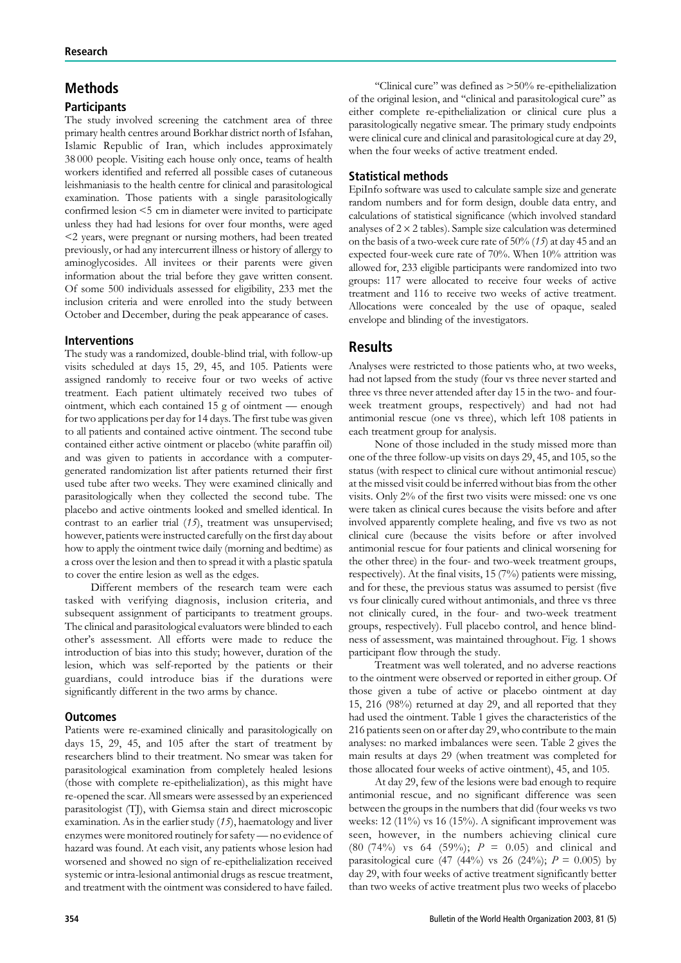# Methods

# **Participants**

The study involved screening the catchment area of three primary health centres around Borkhar district north of Isfahan, Islamic Republic of Iran, which includes approximately 38 000 people. Visiting each house only once, teams of health workers identified and referred all possible cases of cutaneous leishmaniasis to the health centre for clinical and parasitological examination. Those patients with a single parasitologically confirmed lesion <5 cm in diameter were invited to participate unless they had had lesions for over four months, were aged <2 years, were pregnant or nursing mothers, had been treated previously, or had any intercurrent illness or history of allergy to aminoglycosides. All invitees or their parents were given information about the trial before they gave written consent. Of some 500 individuals assessed for eligibility, 233 met the inclusion criteria and were enrolled into the study between October and December, during the peak appearance of cases.

### Interventions

The study was a randomized, double-blind trial, with follow-up visits scheduled at days 15, 29, 45, and 105. Patients were assigned randomly to receive four or two weeks of active treatment. Each patient ultimately received two tubes of ointment, which each contained 15 g of ointment — enough for two applications per day for 14 days. The first tube was given to all patients and contained active ointment. The second tube contained either active ointment or placebo (white paraffin oil) and was given to patients in accordance with a computergenerated randomization list after patients returned their first used tube after two weeks. They were examined clinically and parasitologically when they collected the second tube. The placebo and active ointments looked and smelled identical. In contrast to an earlier trial (15), treatment was unsupervised; however, patients were instructed carefully on the first day about how to apply the ointment twice daily (morning and bedtime) as a cross over the lesion and then to spread it with a plastic spatula to cover the entire lesion as well as the edges.

Different members of the research team were each tasked with verifying diagnosis, inclusion criteria, and subsequent assignment of participants to treatment groups. The clinical and parasitological evaluators were blinded to each other's assessment. All efforts were made to reduce the introduction of bias into this study; however, duration of the lesion, which was self-reported by the patients or their guardians, could introduce bias if the durations were significantly different in the two arms by chance.

### **Outcomes**

Patients were re-examined clinically and parasitologically on days 15, 29, 45, and 105 after the start of treatment by researchers blind to their treatment. No smear was taken for parasitological examination from completely healed lesions (those with complete re-epithelialization), as this might have re-opened the scar. All smears were assessed by an experienced parasitologist (TJ), with Giemsa stain and direct microscopic examination. As in the earlier study (15), haematology and liver enzymes were monitored routinely for safety— no evidence of hazard was found. At each visit, any patients whose lesion had worsened and showed no sign of re-epithelialization received systemic or intra-lesional antimonial drugs as rescue treatment, and treatment with the ointment was considered to have failed.

''Clinical cure'' was defined as >50% re-epithelialization of the original lesion, and ''clinical and parasitological cure'' as either complete re-epithelialization or clinical cure plus a parasitologically negative smear. The primary study endpoints were clinical cure and clinical and parasitological cure at day 29, when the four weeks of active treatment ended.

# Statistical methods

EpiInfo software was used to calculate sample size and generate random numbers and for form design, double data entry, and calculations of statistical significance (which involved standard analyses of  $2 \times 2$  tables). Sample size calculation was determined on the basis of a two-week cure rate of 50% (15) at day 45 and an expected four-week cure rate of 70%. When 10% attrition was allowed for, 233 eligible participants were randomized into two groups: 117 were allocated to receive four weeks of active treatment and 116 to receive two weeks of active treatment. Allocations were concealed by the use of opaque, sealed envelope and blinding of the investigators.

# **Results**

Analyses were restricted to those patients who, at two weeks, had not lapsed from the study (four vs three never started and three vs three never attended after day 15 in the two- and fourweek treatment groups, respectively) and had not had antimonial rescue (one vs three), which left 108 patients in each treatment group for analysis.

None of those included in the study missed more than one of the three follow-up visits on days 29, 45, and 105, so the status (with respect to clinical cure without antimonial rescue) at the missed visit could be inferred without bias from the other visits. Only 2% of the first two visits were missed: one vs one were taken as clinical cures because the visits before and after involved apparently complete healing, and five vs two as not clinical cure (because the visits before or after involved antimonial rescue for four patients and clinical worsening for the other three) in the four- and two-week treatment groups, respectively). At the final visits, 15 (7%) patients were missing, and for these, the previous status was assumed to persist (five vs four clinically cured without antimonials, and three vs three not clinically cured, in the four- and two-week treatment groups, respectively). Full placebo control, and hence blindness of assessment, was maintained throughout. Fig. 1 shows participant flow through the study.

Treatment was well tolerated, and no adverse reactions to the ointment were observed or reported in either group. Of those given a tube of active or placebo ointment at day 15, 216 (98%) returned at day 29, and all reported that they had used the ointment. Table 1 gives the characteristics of the 216 patients seen on or after day 29, who contribute to the main analyses: no marked imbalances were seen. Table 2 gives the main results at days 29 (when treatment was completed for those allocated four weeks of active ointment), 45, and 105.

At day 29, few of the lesions were bad enough to require antimonial rescue, and no significant difference was seen between the groups in the numbers that did (four weeks vs two weeks: 12 (11%) vs 16 (15%). A significant improvement was seen, however, in the numbers achieving clinical cure (80 (74%) vs 64 (59%);  $P = 0.05$ ) and clinical and parasitological cure (47 (44%) vs 26 (24%);  $P = 0.005$ ) by day 29, with four weeks of active treatment significantly better than two weeks of active treatment plus two weeks of placebo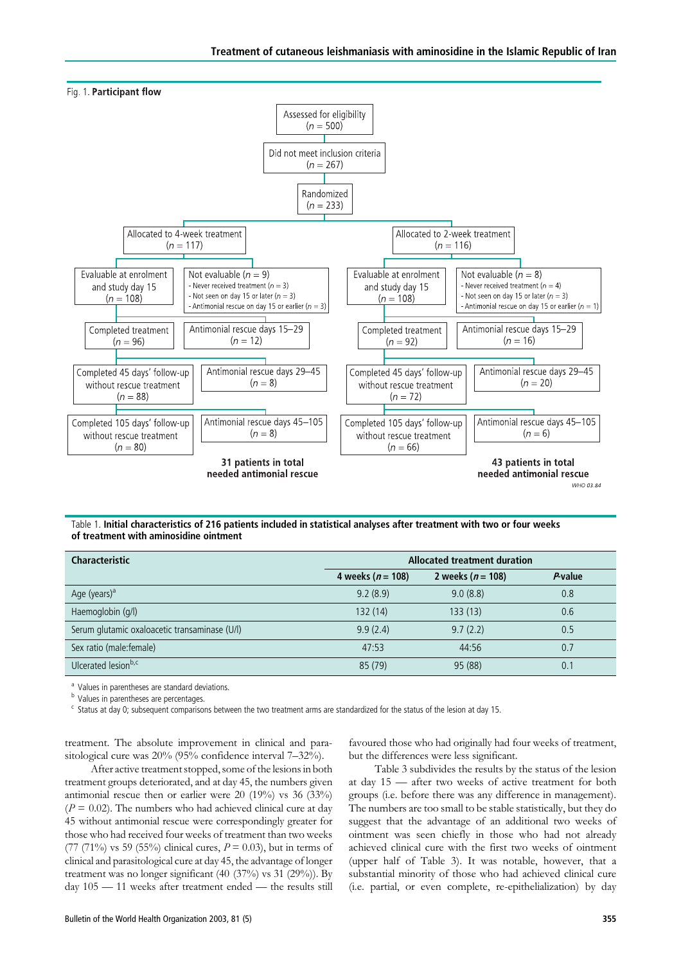



Table 1. Initial characteristics of 216 patients included in statistical analyses after treatment with two or four weeks of treatment with aminosidine ointment

| <b>Characteristic</b>                         | <b>Allocated treatment duration</b> |                       |         |  |  |
|-----------------------------------------------|-------------------------------------|-----------------------|---------|--|--|
|                                               | 4 weeks ( $n = 108$ )               | 2 weeks ( $n = 108$ ) | P value |  |  |
| Age (years) <sup>a</sup>                      | 9.2(8.9)                            | 9.0(8.8)              | 0.8     |  |  |
| Haemoglobin (g/l)                             | 132(14)                             | 133(13)               | 0.6     |  |  |
| Serum glutamic oxaloacetic transaminase (U/l) | 9.9(2.4)                            | 9.7(2.2)              | 0.5     |  |  |
| Sex ratio (male: female)                      | 47:53                               | 44:56                 | 0.7     |  |  |
| Ulcerated lesionb,c                           | 85 (79)                             | 95 (88)               | 0.1     |  |  |

<sup>a</sup> Values in parentheses are standard deviations.

**b** Values in parentheses are percentages.

<sup>c</sup> Status at day 0; subsequent comparisons between the two treatment arms are standardized for the status of the lesion at day 15.

treatment. The absolute improvement in clinical and parasitological cure was 20% (95% confidence interval 7–32%).

favoured those who had originally had four weeks of treatment, but the differences were less significant.

After active treatment stopped, some of the lesions in both treatment groups deteriorated, and at day 45, the numbers given antimonial rescue then or earlier were 20 (19%) vs 36 (33%)  $(P = 0.02)$ . The numbers who had achieved clinical cure at day 45 without antimonial rescue were correspondingly greater for those who had received four weeks of treatment than two weeks (77 (71%) vs 59 (55%) clinical cures,  $P = 0.03$ ), but in terms of clinical and parasitological cure at day 45, the advantage of longer treatment was no longer significant  $(40 (37%)$  vs  $31 (29%)$ ). By day 105 — 11 weeks after treatment ended — the results still

Table 3 subdivides the results by the status of the lesion at day 15 — after two weeks of active treatment for both groups (i.e. before there was any difference in management). The numbers are too small to be stable statistically, but they do suggest that the advantage of an additional two weeks of ointment was seen chiefly in those who had not already achieved clinical cure with the first two weeks of ointment (upper half of Table 3). It was notable, however, that a substantial minority of those who had achieved clinical cure (i.e. partial, or even complete, re-epithelialization) by day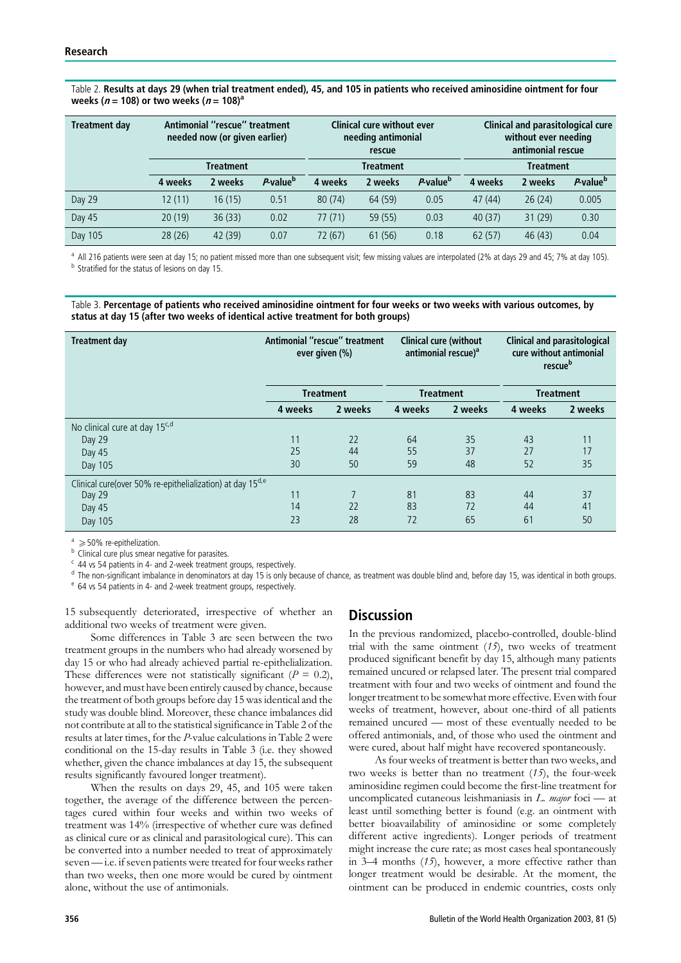#### Table 2. Results at days 29 (when trial treatment ended), 45, and 105 in patients who received aminosidine ointment for four weeks ( $n = 108$ ) or two weeks ( $n = 108$ )<sup>a</sup>

| <b>Treatment day</b> | Antimonial "rescue" treatment<br>needed now (or given earlier) |         | <b>Clinical cure without ever</b><br>needing antimonial<br>rescue |           | <b>Clinical and parasitological cure</b><br>without ever needing<br>antimonial rescue |                      |         |         |                      |
|----------------------|----------------------------------------------------------------|---------|-------------------------------------------------------------------|-----------|---------------------------------------------------------------------------------------|----------------------|---------|---------|----------------------|
|                      | <b>Treatment</b>                                               |         |                                                                   | Treatment |                                                                                       | <b>Treatment</b>     |         |         |                      |
|                      | 4 weeks                                                        | 2 weeks | P-value <sup>b</sup>                                              | 4 weeks   | 2 weeks                                                                               | P-value <sup>b</sup> | 4 weeks | 2 weeks | P-value <sup>b</sup> |
| Day 29               | 12(11)                                                         | 16(15)  | 0.51                                                              | 80(74)    | 64 (59)                                                                               | 0.05                 | 47 (44) | 26(24)  | 0.005                |
| Day 45               | 20(19)                                                         | 36(33)  | 0.02                                                              | 77(71)    | 59(55)                                                                                | 0.03                 | 40(37)  | 31(29)  | 0.30                 |
| Day 105              | 28(26)                                                         | 42 (39) | 0.07                                                              | 72 (67)   | 61 (56)                                                                               | 0.18                 | 62(57)  | 46(43)  | 0.04                 |

<sup>a</sup> All 216 patients were seen at day 15; no patient missed more than one subsequent visit; few missing values are interpolated (2% at days 29 and 45; 7% at day 105). <sup>b</sup> Stratified for the status of lesions on day 15.

Table 3. Percentage of patients who received aminosidine ointment for four weeks or two weeks with various outcomes, by status at day 15 (after two weeks of identical active treatment for both groups)

| Treatment day                                                          | Antimonial "rescue" treatment<br>ever given (%) |         | <b>Clinical cure (without)</b><br>antimonial rescue) <sup>a</sup> |         | <b>Clinical and parasitological</b><br>cure without antimonial<br>rescueb |         |
|------------------------------------------------------------------------|-------------------------------------------------|---------|-------------------------------------------------------------------|---------|---------------------------------------------------------------------------|---------|
|                                                                        | <b>Treatment</b>                                |         | <b>Treatment</b>                                                  |         | <b>Treatment</b>                                                          |         |
|                                                                        | 4 weeks                                         | 2 weeks | 4 weeks                                                           | 2 weeks | 4 weeks                                                                   | 2 weeks |
| No clinical cure at day 15 <sup>c, d</sup>                             |                                                 |         |                                                                   |         |                                                                           |         |
| Day 29                                                                 | 11                                              | 22      | 64                                                                | 35      | 43                                                                        | 11      |
| Day 45                                                                 | 25                                              | 44      | 55                                                                | 37      | 27                                                                        | 17      |
| Day 105                                                                | 30                                              | 50      | 59                                                                | 48      | 52                                                                        | 35      |
| Clinical cure(over 50% re-epithelialization) at day 15 <sup>d, e</sup> |                                                 |         |                                                                   |         |                                                                           |         |
| Day 29                                                                 | 11                                              |         | 81                                                                | 83      | 44                                                                        | 37      |
| Day 45                                                                 | 14                                              | 22      | 83                                                                | 72      | 44                                                                        | 41      |
| Day 105                                                                | 23                                              | 28      | 72                                                                | 65      | 61                                                                        | 50      |

a > 50% re-epithelization.<br><sup>b</sup> Clinical cure plus smear negative for parasites.

<sup>c</sup> 44 vs 54 patients in 4- and 2-week treatment groups, respectively.

 $^d$  The non-significant imbalance in denominators at day 15 is only because of chance, as treatment was double blind and, before day 15, was identical in both groups.<br>  $^e$  64 vs 54 patients in 4- and 2-week treatment gr

15 subsequently deteriorated, irrespective of whether an additional two weeks of treatment were given.

Some differences in Table 3 are seen between the two treatment groups in the numbers who had already worsened by day 15 or who had already achieved partial re-epithelialization. These differences were not statistically significant ( $P = 0.2$ ), however, and must have been entirely caused by chance, because the treatment of both groups before day 15 was identical and the study was double blind. Moreover, these chance imbalances did not contribute at all to the statistical significance in Table 2 of the results at later times, for the P-value calculations in Table 2 were conditional on the 15-day results in Table 3 (i.e. they showed whether, given the chance imbalances at day 15, the subsequent results significantly favoured longer treatment).

When the results on days 29, 45, and 105 were taken together, the average of the difference between the percentages cured within four weeks and within two weeks of treatment was 14% (irrespective of whether cure was defined as clinical cure or as clinical and parasitological cure). This can be converted into a number needed to treat of approximately seven— i.e. if seven patients were treated for four weeks rather than two weeks, then one more would be cured by ointment alone, without the use of antimonials.

# **Discussion**

In the previous randomized, placebo-controlled, double-blind trial with the same ointment  $(15)$ , two weeks of treatment produced significant benefit by day 15, although many patients remained uncured or relapsed later. The present trial compared treatment with four and two weeks of ointment and found the longer treatment to be somewhat more effective. Even with four weeks of treatment, however, about one-third of all patients remained uncured — most of these eventually needed to be offered antimonials, and, of those who used the ointment and were cured, about half might have recovered spontaneously.

As four weeks of treatment is better than two weeks, and two weeks is better than no treatment (15), the four-week aminosidine regimen could become the first-line treatment for uncomplicated cutaneous leishmaniasis in  $L$ . major foci — at least until something better is found (e.g. an ointment with better bioavailability of aminosidine or some completely different active ingredients). Longer periods of treatment might increase the cure rate; as most cases heal spontaneously in 3–4 months (15), however, a more effective rather than longer treatment would be desirable. At the moment, the ointment can be produced in endemic countries, costs only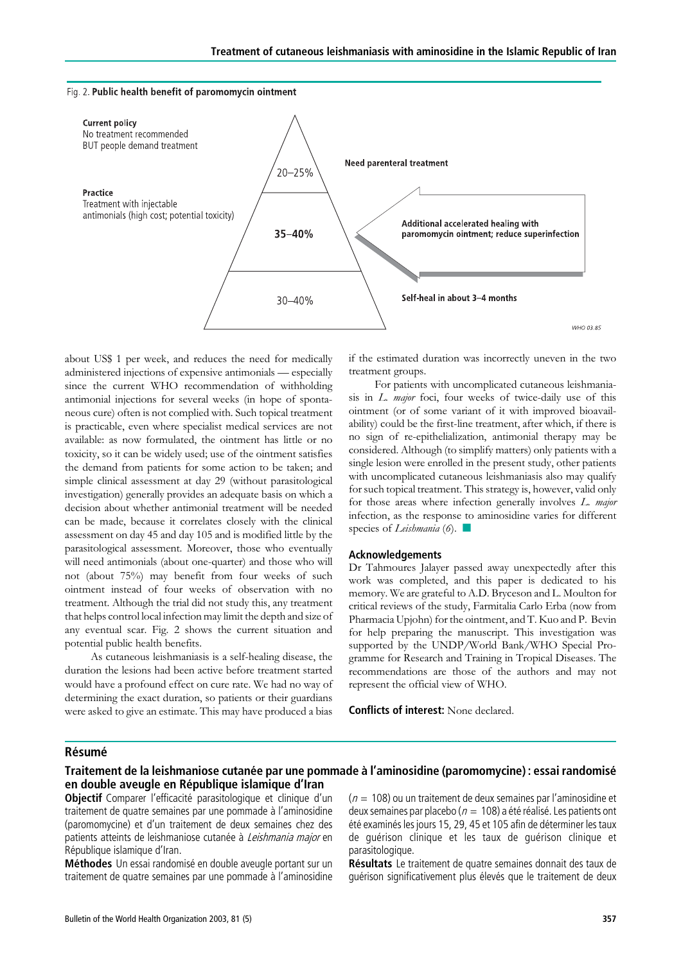

about US\$ 1 per week, and reduces the need for medically administered injections of expensive antimonials — especially since the current WHO recommendation of withholding antimonial injections for several weeks (in hope of spontaneous cure) often is not complied with. Such topical treatment is practicable, even where specialist medical services are not available: as now formulated, the ointment has little or no toxicity, so it can be widely used; use of the ointment satisfies the demand from patients for some action to be taken; and simple clinical assessment at day 29 (without parasitological investigation) generally provides an adequate basis on which a decision about whether antimonial treatment will be needed can be made, because it correlates closely with the clinical assessment on day 45 and day 105 and is modified little by the parasitological assessment. Moreover, those who eventually will need antimonials (about one-quarter) and those who will not (about 75%) may benefit from four weeks of such ointment instead of four weeks of observation with no treatment. Although the trial did not study this, any treatment that helps control local infection may limit the depth and size of any eventual scar. Fig. 2 shows the current situation and potential public health benefits.

As cutaneous leishmaniasis is a self-healing disease, the duration the lesions had been active before treatment started would have a profound effect on cure rate. We had no way of determining the exact duration, so patients or their guardians were asked to give an estimate. This may have produced a bias

if the estimated duration was incorrectly uneven in the two treatment groups.

For patients with uncomplicated cutaneous leishmaniasis in L. major foci, four weeks of twice-daily use of this ointment (or of some variant of it with improved bioavailability) could be the first-line treatment, after which, if there is no sign of re-epithelialization, antimonial therapy may be considered. Although (to simplify matters) only patients with a single lesion were enrolled in the present study, other patients with uncomplicated cutaneous leishmaniasis also may qualify for such topical treatment. This strategy is, however, valid only for those areas where infection generally involves L. major infection, as the response to aminosidine varies for different species of *Leishmania* (6).

#### Acknowledgements

Dr Tahmoures Jalayer passed away unexpectedly after this work was completed, and this paper is dedicated to his memory. We are grateful to A.D. Bryceson and L. Moulton for critical reviews of the study, Farmitalia Carlo Erba (now from Pharmacia Upjohn) for the ointment, and T. Kuo and P. Bevin for help preparing the manuscript. This investigation was supported by the UNDP/World Bank/WHO Special Programme for Research and Training in Tropical Diseases. The recommendations are those of the authors and may not represent the official view of WHO.

Conflicts of interest: None declared.

#### **Résumé**

# Traitement de la leishmaniose cutanée par une pommade à l'aminosidine (paromomycine) : essai randomisé en double aveugle en République islamique d'Iran

Objectif Comparer l'efficacité parasitologique et clinique d'un traitement de quatre semaines par une pommade à l'aminosidine (paromomycine) et d'un traitement de deux semaines chez des patients atteints de leishmaniose cutanée à Leishmania major en République islamique d'Iran.

Méthodes Un essai randomisé en double aveugle portant sur un traitement de quatre semaines par une pommade à l'aminosidine  $(n = 108)$  ou un traitement de deux semaines par l'aminosidine et deux semaines par placebo ( $n = 108$ ) a été réalisé. Les patients ont été examinés les jours 15, 29, 45 et 105 afin de déterminer les taux de quérison clinique et les taux de quérison clinique et parasitologique.

Résultats Le traitement de quatre semaines donnait des taux de guérison significativement plus élevés que le traitement de deux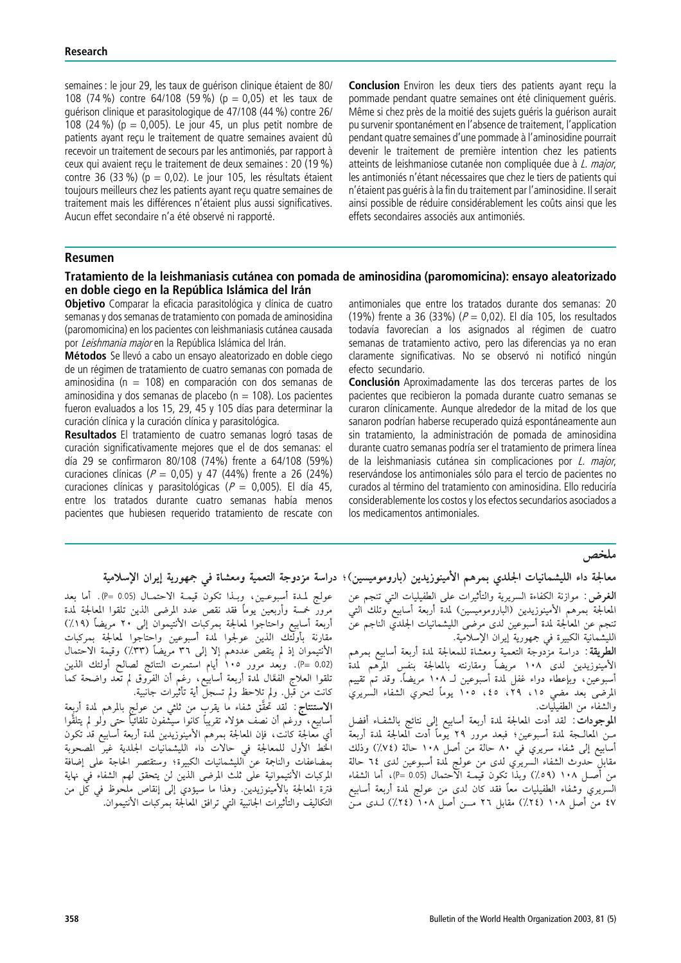semaines : le jour 29, les taux de quérison clinique étaient de 80/ 108 (74 %) contre 64/108 (59 %) (p = 0,05) et les taux de guérison clinique et parasitologique de 47/108 (44 %) contre 26/ 108 (24 %) (p = 0,005). Le jour 45, un plus petit nombre de patients ayant recu le traitement de quatre semaines ayaient dû recevoir un traitement de secours par les antimoniés, par rapport à ceux qui avaient reçu le traitement de deux semaines : 20 (19 %) contre 36 (33 %) ( $p = 0.02$ ). Le jour 105, les résultats étaient toujours meilleurs chez les patients ayant reçu quatre semaines de traitement mais les différences n'étaient plus aussi significatives. Aucun effet secondaire n'a été observé ni rapporté.

**Conclusion** Environ les deux tiers des patients avant recu la pommade pendant quatre semaines ont été cliniquement quéris. Même si chez près de la moitié des sujets quéris la guérison aurait pu survenir spontanément en l'absence de traitement, l'application pendant quatre semaines d'une pommade a` l'aminosidine pourrait devenir le traitement de première intention chez les patients atteints de leishmaniose cutanée non compliquée due à L. major, les antimoniés n'étant nécessaires que chez le tiers de patients qui n'étaient pas guéris à la fin du traitement par l'aminosidine. Il serait ainsi possible de réduire considérablement les coûts ainsi que les effets secondaires associés aux antimoniés.

# Resumen

# Tratamiento de la leishmaniasis cutánea con pomada de aminosidina (paromomicina): ensayo aleatorizado en doble ciego en la República Islámica del Irán

**Objetivo** Comparar la eficacia parasitológica y clínica de cuatro semanas y dos semanas de tratamiento con pomada de aminosidina (paromomicina) en los pacientes con leishmaniasis cutánea causada por Leishmania major en la República Islámica del Irán.

Métodos Se llevó a cabo un ensayo aleatorizado en doble ciego de un régimen de tratamiento de cuatro semanas con pomada de aminosidina (n = 108) en comparación con dos semanas de aminosidina y dos semanas de placebo ( $n = 108$ ). Los pacientes fueron evaluados a los 15, 29, 45 y 105 días para determinar la curación clínica y la curación clínica y parasitológica.

Resultados El tratamiento de cuatro semanas logró tasas de curación significativamente mejores que el de dos semanas: el día 29 se confirmaron 80/108 (74%) frente a 64/108 (59%) curaciones clínicas ( $P = 0.05$ ) y 47 (44%) frente a 26 (24%) curaciones clínicas y parasitológicas ( $P = 0,005$ ). El día 45, entre los tratados durante cuatro semanas había menos pacientes que hubiesen requerido tratamiento de rescate con antimoniales que entre los tratados durante dos semanas: 20 (19%) frente a 36 (33%) ( $P = 0.02$ ). El día 105, los resultados todavía favorecían a los asignados al régimen de cuatro semanas de tratamiento activo, pero las diferencias ya no eran claramente significativas. No se observó ni notificó ningún efecto secundario.

**Conclusión** Aproximadamente las dos terceras partes de los pacientes que recibieron la pomada durante cuatro semanas se curaron clínicamente. Aunque alrededor de la mitad de los que sanaron podrían haberse recuperado quizá espontáneamente aun sin tratamiento, la administración de pomada de aminosidina durante cuatro semanas podría ser el tratamiento de primera línea de la leishmaniasis cutánea sin complicaciones por *L. major*, reservándose los antimoniales sólo para el tercio de pacientes no curados al término del tratamiento con aminosidina. Ello reduciría considerablemente los costos y los efectos secundarios asociados a los medicamentos antimoniales.

### ملخص

# معالجة داء الليشمانيات الجلدي بمرهم الأمينوزيدين (باروموميسين)؛ دراسة مزدوجة التعمية ومعشاة فى جمهورية إيران الإسلامية

عولج لمدة أسبوعين، وبـذا تكون قيمـة الاحتمـال (P= 0.05). أما بعد مرور خمسة وأربعين يومأ فقد نقص عدد المرضى الذين تلقوا المعالجة لمدة أربعة أسابيع واحتاجوا لمعالجة بمركبات الأنتيموان إلى ٢٠ مريضاً (١٩٪) مقارنة بأولئك الذين عولجوا لمدة أسبوعين واحتاجوا لمعالجة بمركبات الأنتيموان إذ لم ينقص عددهم إلا إلى ٣٦ مريضاً (٣٣٪) وقيمة الاحتمال (P= 0.02). وبعد مرور ١٠٥ أيام استمرت النتائج لصالح أولئك الذين تلقوا العلاج الْفعَّال لَمْدَّة أربعة أسَّابِيْع، رغْم أن الفرَّوق لم تعد واضحة كما كانت من قبل. ولم تلاحظ ولم تسجلٌ أية تأثيٰرات جانبية.

**الاستنتاج** : لقد تُحقَّق شفاء ما يقرب من ثلثي من عولج بالمرهم لمدة أربعة<br>أسابيع، ورغم أن نصف هؤلاء تقريباً كانوا سيشفون تلقائياً حتى ولو لم يتلقَّوا أى معالجة كانت، فإن المعالجة بمرهم الأمينوزيدين لمدة أربعة أسابيع قدْ تكون الخط الأول للمعالجة في حالات داء الليشمانيات الجلدية غير المصحوبة بمضاعفات والناجمة عن الليشمانيات الكبيرة؛ وستقتصر الحاجة على إضافة المركبات الأنتيموانية على ثلث المرضى الذين لن يتحقق لهم الشفاء في نهاية فترة المعالجة بالأمينوزيدين. وهذا ما سيؤدي إلى إنقاص ملحوظ في كُلِّ من التكاليف والتأثيرات الجانبية التي ترافق المعالجة بمركبات الأنتيموان.

**الغرض** : موازنة الكفاءة السريرية والتأثيرات على الطفيليات التي تنجم عن المعالجة بمرهم الأمينوزيدين (الباروموميسين) لمدة أربعة أسابيع وتلك التي . .<br>تنجم عن المعالجة لمدة أسبوعين لدى مرضى الليشمانيات الجلدي الناجم عن<br>الليشمانية الكبيرة في جمهورية إيران الإسلامية.

**الطريقة** : دراسة مزَّدوجة التعمية ومعشاة للمعالجة لمدة أربعة أسابيع بمرهم الأمينوزيدين لدى ١٠٨ مريضاً ومقارنته بالمعالجة بنفس المرهم لمدة استبيوريتين على المعالم المريتة المرسوبية المعارفة المبسس المرسم.<br>أسبوعين، وبإعطاء دواء غفل لمدة أسبوعين لـ ١٠٨ مريضاً. وقد تم تقييم<br>المرضى بعد مضي ١٥، ٢٩، ٤٥، ١٠٥. يوماً لتحري الشفاء السريري والشفاء من الطفيليات.

.<br>الموجودات : لقد أدت المعالجة لمدة أربعة أسابيع إلي نتائج بالشفـاء أفضل مــنْ الْمعالـــجة لمدة أسبوعين؛ فبعد مرور ٢٩ يوماً أَدت المعالجة لمدة أربعةً أسابيع إلى شفاء سريري في ٨٠ حالة من أصل ١٠٨ حالة (٧٤٪) وذلك .<br>مقابل حدوث الشفاء السريري لدى من عولج لمدة أسبوعين لدى ٦٤ حالة<br>من أصـل ١٠٨ (٥٩٪) وبذا تكون قيمــة الاحتمال (0.05 =9)، أما الشفاء السريري وشفاء الطفيليات معاً فقد كان لدى من عولج لمدة أربعة أسابيع<br>٤٧ من أصل ١٠٨ (٢٤٪) مقابل ٢٦ مــن أصل ١٠٨ (٢٤٪) لـدى مـن